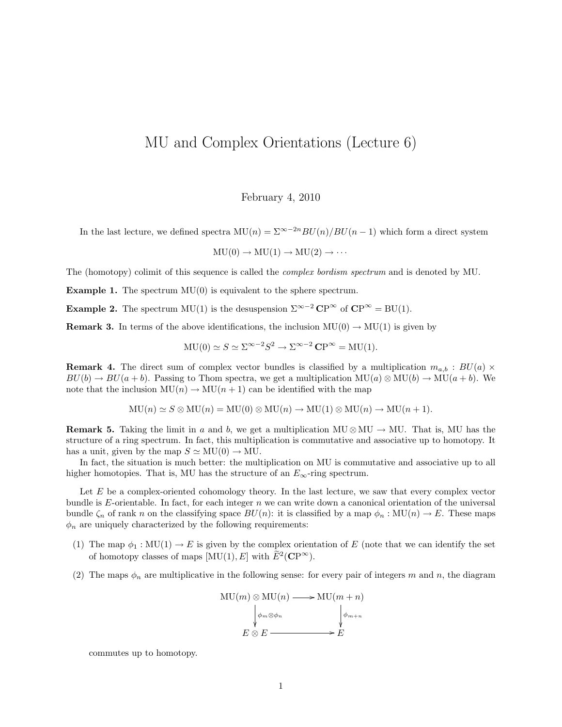## MU and Complex Orientations (Lecture 6)

February 4, 2010

In the last lecture, we defined spectra  $MU(n) = \sum_{n=0}^{\infty} 2^n BU(n)/BU(n-1)$  which form a direct system

 $MU(0) \rightarrow MU(1) \rightarrow MU(2) \rightarrow \cdots$ 

The (homotopy) colimit of this sequence is called the *complex bordism spectrum* and is denoted by MU.

**Example 1.** The spectrum  $MU(0)$  is equivalent to the sphere spectrum.

**Example 2.** The spectrum MU(1) is the desuspension  $\Sigma^{\infty-2}$  CP<sup>∞</sup> of CP<sup>∞</sup> = BU(1).

**Remark 3.** In terms of the above identifications, the inclusion  $MU(0) \rightarrow MU(1)$  is given by

$$
MU(0) \simeq S \simeq \Sigma^{\infty - 2} S^2 \to \Sigma^{\infty - 2} \mathbf{CP}^{\infty} = MU(1).
$$

**Remark 4.** The direct sum of complex vector bundles is classified by a multiplication  $m_{a,b}$ :  $BU(a) \times$  $BU(b) \to BU(a+b)$ . Passing to Thom spectra, we get a multiplication  $MU(a) \otimes MU(b) \to MU(a+b)$ . We note that the inclusion  $MU(n) \to MU(n+1)$  can be identified with the map

$$
MU(n) \simeq S \otimes MU(n) = MU(0) \otimes MU(n) \to MU(1) \otimes MU(n) \to MU(n+1).
$$

**Remark 5.** Taking the limit in a and b, we get a multiplication MU  $\otimes$  MU  $\rightarrow$  MU. That is, MU has the structure of a ring spectrum. In fact, this multiplication is commutative and associative up to homotopy. It has a unit, given by the map  $S \simeq MU(0) \rightarrow MU$ .

In fact, the situation is much better: the multiplication on MU is commutative and associative up to all higher homotopies. That is, MU has the structure of an  $E_{\infty}$ -ring spectrum.

Let E be a complex-oriented cohomology theory. In the last lecture, we saw that every complex vector bundle is  $E$ -orientable. In fact, for each integer  $n$  we can write down a canonical orientation of the universal bundle  $\zeta_n$  of rank n on the classifying space  $BU(n)$ : it is classified by a map  $\phi_n : MU(n) \to E$ . These maps  $\phi_n$  are uniquely characterized by the following requirements:

- (1) The map  $\phi_1 : \text{MU}(1) \to E$  is given by the complex orientation of E (note that we can identify the set of homotopy classes of maps  $[MU(1), E]$  with  $\widetilde{E}^2(\mathbf{CP}^{\infty})$ .
- (2) The maps  $\phi_n$  are multiplicative in the following sense: for every pair of integers m and n, the diagram



commutes up to homotopy.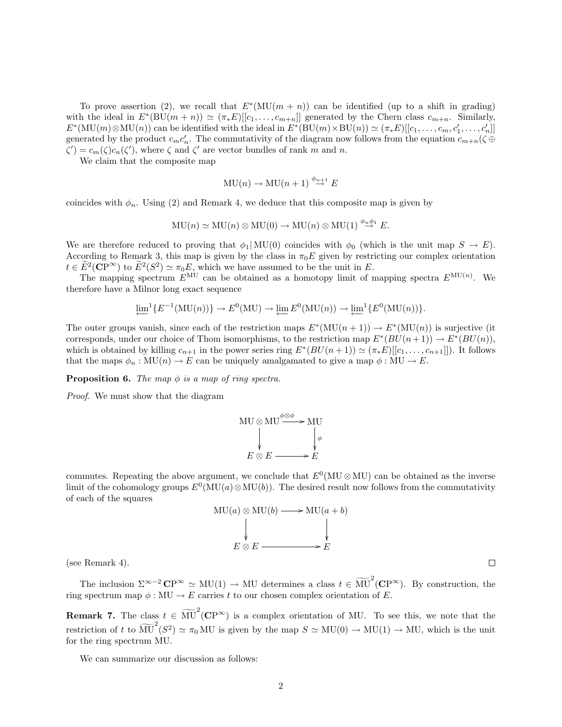To prove assertion (2), we recall that  $E^*(MU(m+n))$  can be identified (up to a shift in grading) with the ideal in  $E^*(BU(m+n)) \simeq (\pi_*E)[[c_1,\ldots,c_{m+n}]$  generated by the Chern class  $c_{m+n}$ . Similarly,  $E^*(\text{MU}(m)\otimes \text{MU}(n))$  can be identified with the ideal in  $E^*(\text{BU}(m)\times \text{BU}(n)) \simeq (\pi_*E)[[c_1,\ldots,c_m,c_1',\ldots,c_n']$ generated by the product  $c_m c'_n$ . The commutativity of the diagram now follows from the equation  $c_{m+n}(\zeta \oplus$  $\zeta'$ ) =  $c_m(\zeta)c_n(\zeta')$ , where  $\zeta$  and  $\zeta'$  are vector bundles of rank m and n.

We claim that the composite map

$$
MU(n) \to MU(n+1) \stackrel{\phi_{n+1}}{\to} E
$$

coincides with  $\phi_n$ . Using (2) and Remark 4, we deduce that this composite map is given by

$$
MU(n) \simeq MU(n) \otimes MU(0) \to MU(n) \otimes MU(1) \stackrel{\phi_n \phi_1}{\to} E.
$$

We are therefore reduced to proving that  $\phi_1|\text{MU}(0)$  coincides with  $\phi_0$  (which is the unit map  $S \to E$ ). According to Remark 3, this map is given by the class in  $\pi_0 E$  given by restricting our complex orientation  $t \in \widetilde{E}^2(\mathbf{CP}^{\infty})$  to  $\widetilde{E}^2(S^2) \simeq \pi_0 E$ , which we have assumed to be the unit in E.

The mapping spectrum  $E^{\text{MU}}$  can be obtained as a homotopy limit of mapping spectra  $E^{\text{MU}(n)}$ . We therefore have a Milnor long exact sequence

$$
\underleftarrow{\lim}^{1} \{ E^{-1}(\mathrm{MU}(n)) \} \to E^{0}(\mathrm{MU}) \to \underleftarrow{\lim} E^{0}(\mathrm{MU}(n)) \to \underleftarrow{\lim}^{1} \{ E^{0}(\mathrm{MU}(n)) \}.
$$

The outer groups vanish, since each of the restriction maps  $E^*(MU(n+1)) \to E^*(MU(n))$  is surjective (it corresponds, under our choice of Thom isomorphisms, to the restriction map  $E^*(BU(n+1)) \to E^*(BU(n))$ , which is obtained by killing  $c_{n+1}$  in the power series ring  $E^*(BU(n+1)) \simeq (\pi_*E)[[c_1,\ldots,c_{n+1}]]$ . It follows that the maps  $\phi_n : \text{MU}(n) \to E$  can be uniquely amalgamated to give a map  $\phi : \text{MU} \to E$ .

**Proposition 6.** The map  $\phi$  is a map of ring spectra.

Proof. We must show that the diagram



commutes. Repeating the above argument, we conclude that  $E^0(MU \otimes MU)$  can be obtained as the inverse limit of the cohomology groups  $E^0(MU(a) \otimes MU(b))$ . The desired result now follows from the commutativity of each of the squares



(see Remark 4).

The inclusion  $\Sigma^{\infty-2}$  CP<sup>∞</sup>  $\simeq$  MU(1)  $\rightarrow$  MU determines a class  $t \in \widetilde{MU}^2$  (CP<sup>∞</sup>). By construction, the ring spectrum map  $\phi: MU \to E$  carries t to our chosen complex orientation of E.

**Remark 7.** The class  $t \in \widetilde{\text{MU}}^2(\mathbb{CP}^{\infty})$  is a complex orientation of MU. To see this, we note that the restriction of t to  $\widetilde{\text{MU}}^2(S^2) \simeq \pi_0 \text{MU}$  is given by the map  $S \simeq \text{MU}(0) \to \text{MU}(1) \to \text{MU}$ , which is the unit for the ring spectrum MU.

We can summarize our discussion as follows:

 $\Box$